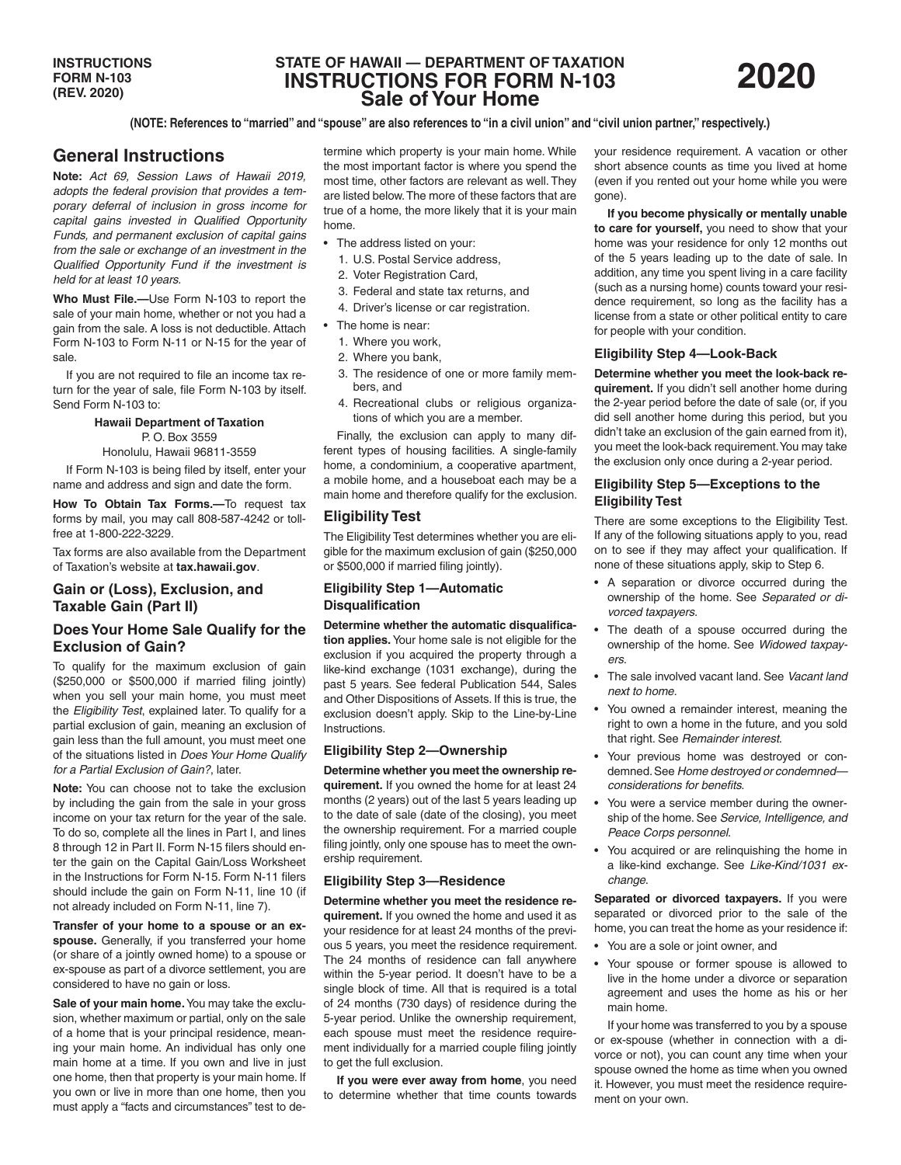# **STATE OF HAWAII — DEPARTMENT OF TAXATION INSTRUCTIONS FOR FORM N-103 Sale of Your Home**



**(NOTE: References to "married" and "spouse" are also references to "in a civil union" and "civil union partner," respectively.)**

# **General Instructions**

**Note:** *Act 69, Session Laws of Hawaii 2019, adopts the federal provision that provides a temporary deferral of inclusion in gross income for capital gains invested in Qualified Opportunity Funds, and permanent exclusion of capital gains from the sale or exchange of an investment in the Qualified Opportunity Fund if the investment is held for at least 10 years.*

**Who Must File.—**Use Form N-103 to report the sale of your main home, whether or not you had a gain from the sale. A loss is not deductible. Attach Form N-103 to Form N-11 or N-15 for the year of sale.

If you are not required to file an income tax return for the year of sale, file Form N-103 by itself. Send Form N-103 to:

### **Hawaii Department of Taxation**

 $P$   $\cap$  Box 3559 Honolulu, Hawaii 96811-3559

If Form N-103 is being filed by itself, enter your

name and address and sign and date the form.

**How To Obtain Tax Forms.—**To request tax forms by mail, you may call 808-587-4242 or tollfree at 1-800-222-3229.

Tax forms are also available from the Department of Taxation's website at **tax.hawaii.gov**.

## **Gain or (Loss), Exclusion, and Taxable Gain (Part II)**

# **Does Your Home Sale Qualify for the Exclusion of Gain?**

To qualify for the maximum exclusion of gain (\$250,000 or \$500,000 if married filing jointly) when you sell your main home, you must meet the *Eligibility Test*, explained later. To qualify for a partial exclusion of gain, meaning an exclusion of gain less than the full amount, you must meet one of the situations listed in *Does Your Home Qualify for a Partial Exclusion of Gain?*, later.

**Note:** You can choose not to take the exclusion by including the gain from the sale in your gross income on your tax return for the year of the sale. To do so, complete all the lines in Part I, and lines 8 through 12 in Part II. Form N-15 filers should enter the gain on the Capital Gain/Loss Worksheet in the Instructions for Form N-15. Form N-11 filers should include the gain on Form N-11, line 10 (if not already included on Form N-11, line 7).

**Transfer of your home to a spouse or an exspouse.** Generally, if you transferred your home (or share of a jointly owned home) to a spouse or ex-spouse as part of a divorce settlement, you are considered to have no gain or loss.

**Sale of your main home.** You may take the exclusion, whether maximum or partial, only on the sale of a home that is your principal residence, meaning your main home. An individual has only one main home at a time. If you own and live in just one home, then that property is your main home. If you own or live in more than one home, then you must apply a "facts and circumstances" test to determine which property is your main home. While the most important factor is where you spend the most time, other factors are relevant as well. They are listed below. The more of these factors that are true of a home, the more likely that it is your main home.

- The address listed on your:
	- 1. U.S. Postal Service address,
	- 2. Voter Registration Card,
	- 3. Federal and state tax returns, and
	- 4. Driver's license or car registration.
- The home is near:
	- 1. Where you work,
	- 2. Where you bank,
	- 3. The residence of one or more family members, and
	- 4. Recreational clubs or religious organizations of which you are a member.

Finally, the exclusion can apply to many different types of housing facilities. A single-family home, a condominium, a cooperative apartment, a mobile home, and a houseboat each may be a main home and therefore qualify for the exclusion.

## **Eligibility Test**

The Eligibility Test determines whether you are eligible for the maximum exclusion of gain (\$250,000 or \$500,000 if married filing jointly).

#### **Eligibility Step 1—Automatic Disqualification**

**Determine whether the automatic disqualification applies.** Your home sale is not eligible for the exclusion if you acquired the property through a like-kind exchange (1031 exchange), during the past 5 years. See federal Publication 544, Sales and Other Dispositions of Assets. If this is true, the exclusion doesn't apply. Skip to the Line-by-Line Instructions.

#### **Eligibility Step 2—Ownership**

**Determine whether you meet the ownership requirement.** If you owned the home for at least 24 months (2 years) out of the last 5 years leading up to the date of sale (date of the closing), you meet the ownership requirement. For a married couple filing jointly, only one spouse has to meet the ownership requirement.

#### **Eligibility Step 3—Residence**

**Determine whether you meet the residence requirement.** If you owned the home and used it as your residence for at least 24 months of the previous 5 years, you meet the residence requirement. The 24 months of residence can fall anywhere within the 5-year period. It doesn't have to be a single block of time. All that is required is a total of 24 months (730 days) of residence during the 5-year period. Unlike the ownership requirement, each spouse must meet the residence requirement individually for a married couple filing jointly to get the full exclusion.

**If you were ever away from home**, you need to determine whether that time counts towards

your residence requirement. A vacation or other short absence counts as time you lived at home (even if you rented out your home while you were gone).

**If you become physically or mentally unable to care for yourself,** you need to show that your home was your residence for only 12 months out of the 5 years leading up to the date of sale. In addition, any time you spent living in a care facility (such as a nursing home) counts toward your residence requirement, so long as the facility has a license from a state or other political entity to care for people with your condition.

#### **Eligibility Step 4—Look-Back**

**Determine whether you meet the look-back requirement.** If you didn't sell another home during the 2-year period before the date of sale (or, if you did sell another home during this period, but you didn't take an exclusion of the gain earned from it), you meet the look-back requirement. You may take the exclusion only once during a 2-year period.

## **Eligibility Step 5—Exceptions to the Eligibility Test**

There are some exceptions to the Eligibility Test. If any of the following situations apply to you, read on to see if they may affect your qualification. If none of these situations apply, skip to Step 6.

- A separation or divorce occurred during the ownership of the home. See *Separated or divorced taxpayers*.
- The death of a spouse occurred during the ownership of the home. See *Widowed taxpayers*.
- The sale involved vacant land. See *Vacant land next to home*.
- You owned a remainder interest, meaning the right to own a home in the future, and you sold that right. See *Remainder interest*.
- Your previous home was destroyed or condemned. See *Home destroyed or condemned considerations for benefits*.
- You were a service member during the ownership of the home. See *Service, Intelligence, and Peace Corps personnel*.
- You acquired or are relinquishing the home in a like-kind exchange. See *Like-Kind/1031 exchange*.

**Separated or divorced taxpayers.** If you were separated or divorced prior to the sale of the home, you can treat the home as your residence if:

- You are a sole or joint owner, and
- Your spouse or former spouse is allowed to live in the home under a divorce or separation agreement and uses the home as his or her main home.

If your home was transferred to you by a spouse or ex-spouse (whether in connection with a divorce or not), you can count any time when your spouse owned the home as time when you owned it. However, you must meet the residence requirement on your own.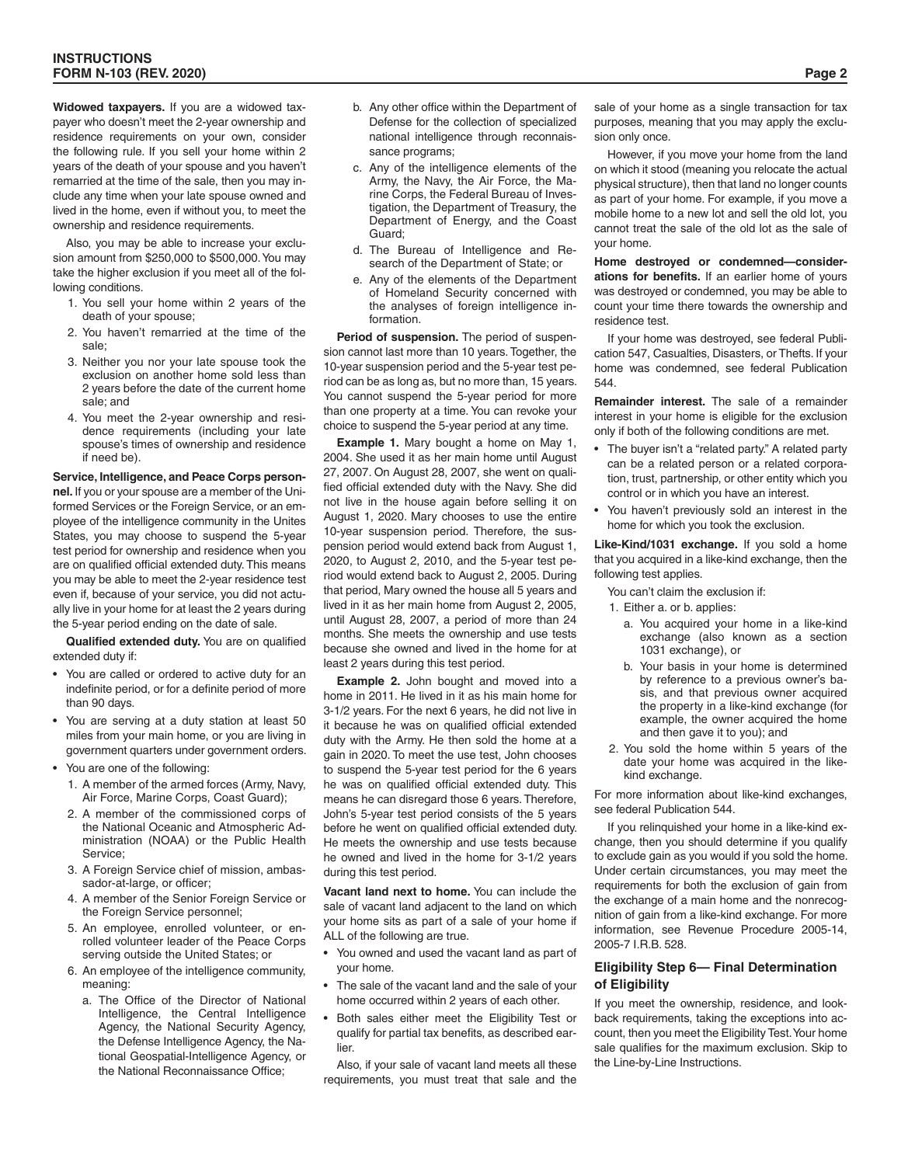**Widowed taxpayers.** If you are a widowed taxpayer who doesn't meet the 2-year ownership and residence requirements on your own, consider the following rule. If you sell your home within 2 years of the death of your spouse and you haven't remarried at the time of the sale, then you may include any time when your late spouse owned and lived in the home, even if without you, to meet the ownership and residence requirements.

Also, you may be able to increase your exclusion amount from \$250,000 to \$500,000. You may take the higher exclusion if you meet all of the following conditions.

- 1. You sell your home within 2 years of the death of your spouse;
- 2. You haven't remarried at the time of the sale;
- 3. Neither you nor your late spouse took the exclusion on another home sold less than 2 years before the date of the current home sale; and
- 4. You meet the 2-year ownership and residence requirements (including your late spouse's times of ownership and residence if need be).

**Service, Intelligence, and Peace Corps personnel.** If you or your spouse are a member of the Uniformed Services or the Foreign Service, or an employee of the intelligence community in the Unites States, you may choose to suspend the 5-year test period for ownership and residence when you are on qualified official extended duty. This means you may be able to meet the 2-year residence test even if, because of your service, you did not actually live in your home for at least the 2 years during the 5-year period ending on the date of sale.

**Qualified extended duty.** You are on qualified extended duty if:

- You are called or ordered to active duty for an indefinite period, or for a definite period of more than 90 days.
- You are serving at a duty station at least 50 miles from your main home, or you are living in government quarters under government orders.
- You are one of the following:
	- 1. A member of the armed forces (Army, Navy, Air Force, Marine Corps, Coast Guard);
	- 2. A member of the commissioned corps of the National Oceanic and Atmospheric Administration (NOAA) or the Public Health Service;
	- 3. A Foreign Service chief of mission, ambassador-at-large, or officer;
	- 4. A member of the Senior Foreign Service or the Foreign Service personnel;
	- 5. An employee, enrolled volunteer, or enrolled volunteer leader of the Peace Corps serving outside the United States; or
	- 6. An employee of the intelligence community, meaning:
		- a. The Office of the Director of National Intelligence, the Central Intelligence Agency, the National Security Agency, the Defense Intelligence Agency, the National Geospatial-Intelligence Agency, or the National Reconnaissance Office;
- b. Any other office within the Department of Defense for the collection of specialized national intelligence through reconnaissance programs;
- c. Any of the intelligence elements of the Army, the Navy, the Air Force, the Marine Corps, the Federal Bureau of Investigation, the Department of Treasury, the Department of Energy, and the Coast Guard;
- d. The Bureau of Intelligence and Research of the Department of State; or
- e. Any of the elements of the Department of Homeland Security concerned with the analyses of foreign intelligence information.

**Period of suspension.** The period of suspension cannot last more than 10 years. Together, the 10-year suspension period and the 5-year test period can be as long as, but no more than, 15 years. You cannot suspend the 5-year period for more than one property at a time. You can revoke your choice to suspend the 5-year period at any time.

**Example 1.** Mary bought a home on May 1, 2004. She used it as her main home until August 27, 2007. On August 28, 2007, she went on qualified official extended duty with the Navy. She did not live in the house again before selling it on August 1, 2020. Mary chooses to use the entire 10-year suspension period. Therefore, the suspension period would extend back from August 1, 2020, to August 2, 2010, and the 5-year test period would extend back to August 2, 2005. During that period, Mary owned the house all 5 years and lived in it as her main home from August 2, 2005, until August 28, 2007, a period of more than 24 months. She meets the ownership and use tests because she owned and lived in the home for at least 2 years during this test period.

**Example 2.** John bought and moved into a home in 2011. He lived in it as his main home for 3-1/2 years. For the next 6 years, he did not live in it because he was on qualified official extended duty with the Army. He then sold the home at a gain in 2020. To meet the use test, John chooses to suspend the 5-year test period for the 6 years he was on qualified official extended duty. This means he can disregard those 6 years. Therefore, John's 5-year test period consists of the 5 years before he went on qualified official extended duty. He meets the ownership and use tests because he owned and lived in the home for 3-1/2 years during this test period.

**Vacant land next to home.** You can include the sale of vacant land adjacent to the land on which your home sits as part of a sale of your home if ALL of the following are true.

- You owned and used the vacant land as part of your home.
- The sale of the vacant land and the sale of your home occurred within 2 years of each other.
- Both sales either meet the Eligibility Test or qualify for partial tax benefits, as described earlier.

Also, if your sale of vacant land meets all these requirements, you must treat that sale and the sale of your home as a single transaction for tax purposes, meaning that you may apply the exclusion only once.

However, if you move your home from the land on which it stood (meaning you relocate the actual physical structure), then that land no longer counts as part of your home. For example, if you move a mobile home to a new lot and sell the old lot, you cannot treat the sale of the old lot as the sale of your home.

**Home destroyed or condemned—considerations for benefits.** If an earlier home of yours was destroyed or condemned, you may be able to count your time there towards the ownership and residence test.

If your home was destroyed, see federal Publication 547, Casualties, Disasters, or Thefts. If your home was condemned, see federal Publication 544.

**Remainder interest.** The sale of a remainder interest in your home is eligible for the exclusion only if both of the following conditions are met.

- The buyer isn't a "related party." A related party can be a related person or a related corporation, trust, partnership, or other entity which you control or in which you have an interest.
- You haven't previously sold an interest in the home for which you took the exclusion.

**Like-Kind/1031 exchange.** If you sold a home that you acquired in a like-kind exchange, then the following test applies.

You can't claim the exclusion if:

- 1. Either a. or b. applies:
	- a. You acquired your home in a like-kind exchange (also known as a section 1031 exchange), or
	- b. Your basis in your home is determined by reference to a previous owner's basis, and that previous owner acquired the property in a like-kind exchange (for example, the owner acquired the home and then gave it to you); and
- 2. You sold the home within 5 years of the date your home was acquired in the likekind exchange.

For more information about like-kind exchanges, see federal Publication 544.

If you relinquished your home in a like-kind exchange, then you should determine if you qualify to exclude gain as you would if you sold the home. Under certain circumstances, you may meet the requirements for both the exclusion of gain from the exchange of a main home and the nonrecognition of gain from a like-kind exchange. For more information, see Revenue Procedure 2005-14, 2005-7 I.R.B. 528.

#### **Eligibility Step 6— Final Determination of Eligibility**

If you meet the ownership, residence, and lookback requirements, taking the exceptions into account, then you meet the Eligibility Test. Your home sale qualifies for the maximum exclusion. Skip to the Line-by-Line Instructions.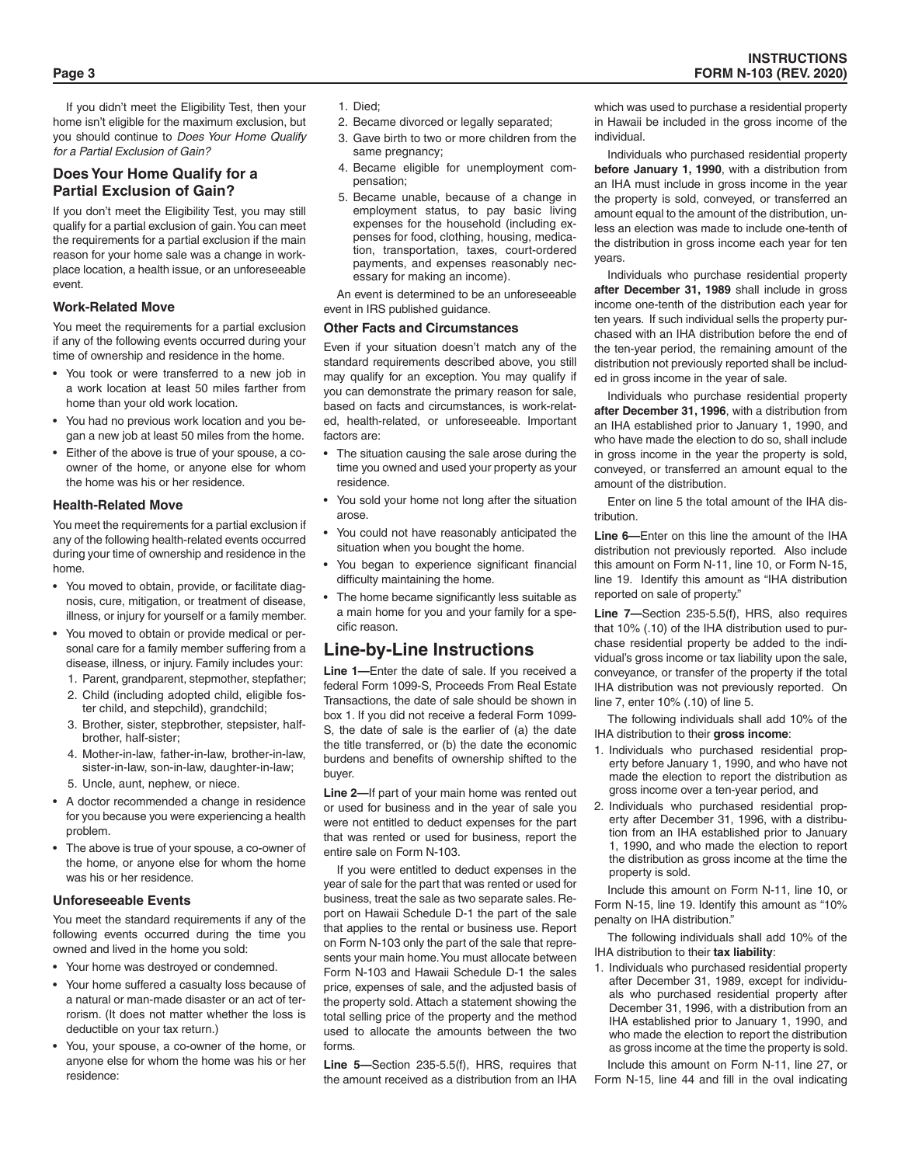If you didn't meet the Eligibility Test, then your home isn't eligible for the maximum exclusion, but you should continue to *Does Your Home Qualify for a Partial Exclusion of Gain?*

# **Does Your Home Qualify for a Partial Exclusion of Gain?**

If you don't meet the Eligibility Test, you may still qualify for a partial exclusion of gain. You can meet the requirements for a partial exclusion if the main reason for your home sale was a change in workplace location, a health issue, or an unforeseeable event.

### **Work-Related Move**

You meet the requirements for a partial exclusion if any of the following events occurred during your time of ownership and residence in the home.

- You took or were transferred to a new job in a work location at least 50 miles farther from home than your old work location.
- You had no previous work location and you began a new job at least 50 miles from the home.
- Either of the above is true of your spouse, a coowner of the home, or anyone else for whom the home was his or her residence.

#### **Health-Related Move**

You meet the requirements for a partial exclusion if any of the following health-related events occurred during your time of ownership and residence in the home.

- You moved to obtain, provide, or facilitate diagnosis, cure, mitigation, or treatment of disease, illness, or injury for yourself or a family member.
- You moved to obtain or provide medical or personal care for a family member suffering from a disease, illness, or injury. Family includes your:
	- 1. Parent, grandparent, stepmother, stepfather;
	- 2. Child (including adopted child, eligible foster child, and stepchild), grandchild;
	- 3. Brother, sister, stepbrother, stepsister, halfbrother, half-sister;
	- 4. Mother-in-law, father-in-law, brother-in-law, sister-in-law, son-in-law, daughter-in-law;
	- 5. Uncle, aunt, nephew, or niece.
- A doctor recommended a change in residence for you because you were experiencing a health problem.
- The above is true of your spouse, a co-owner of the home, or anyone else for whom the home was his or her residence.

#### **Unforeseeable Events**

You meet the standard requirements if any of the following events occurred during the time you owned and lived in the home you sold:

- Your home was destroyed or condemned.
- Your home suffered a casualty loss because of a natural or man-made disaster or an act of terrorism. (It does not matter whether the loss is deductible on your tax return.)
- You, your spouse, a co-owner of the home, or anyone else for whom the home was his or her residence:
- 1. Died;
- 2. Became divorced or legally separated;
- 3. Gave birth to two or more children from the same pregnancy;
- 4. Became eligible for unemployment compensation;
- 5. Became unable, because of a change in employment status, to pay basic living expenses for the household (including expenses for food, clothing, housing, medication, transportation, taxes, court-ordered payments, and expenses reasonably necessary for making an income).

An event is determined to be an unforeseeable event in IRS published guidance.

#### **Other Facts and Circumstances**

Even if your situation doesn't match any of the standard requirements described above, you still may qualify for an exception. You may qualify if you can demonstrate the primary reason for sale, based on facts and circumstances, is work-related, health-related, or unforeseeable. Important factors are:

- The situation causing the sale arose during the time you owned and used your property as your residence.
- You sold your home not long after the situation arose.
- You could not have reasonably anticipated the situation when you bought the home.
- You began to experience significant financial difficulty maintaining the home.
- The home became significantly less suitable as a main home for you and your family for a specific reason.

# **Line-by-Line Instructions**

**Line 1—**Enter the date of sale. If you received a federal Form 1099-S, Proceeds From Real Estate Transactions, the date of sale should be shown in box 1. If you did not receive a federal Form 1099- S, the date of sale is the earlier of (a) the date the title transferred, or (b) the date the economic burdens and benefits of ownership shifted to the buyer.

**Line 2—**If part of your main home was rented out or used for business and in the year of sale you were not entitled to deduct expenses for the part that was rented or used for business, report the entire sale on Form N-103.

If you were entitled to deduct expenses in the year of sale for the part that was rented or used for business, treat the sale as two separate sales. Report on Hawaii Schedule D-1 the part of the sale that applies to the rental or business use. Report on Form N-103 only the part of the sale that represents your main home. You must allocate between Form N-103 and Hawaii Schedule D-1 the sales price, expenses of sale, and the adjusted basis of the property sold. Attach a statement showing the total selling price of the property and the method used to allocate the amounts between the two forms.

**Line 5—**Section 235-5.5(f), HRS, requires that the amount received as a distribution from an IHA

which was used to purchase a residential property in Hawaii be included in the gross income of the individual.

Individuals who purchased residential property **before January 1, 1990**, with a distribution from an IHA must include in gross income in the year the property is sold, conveyed, or transferred an amount equal to the amount of the distribution, unless an election was made to include one-tenth of the distribution in gross income each year for ten years.

Individuals who purchase residential property **after December 31, 1989** shall include in gross income one-tenth of the distribution each year for ten years. If such individual sells the property purchased with an IHA distribution before the end of the ten-year period, the remaining amount of the distribution not previously reported shall be included in gross income in the year of sale.

Individuals who purchase residential property **after December 31, 1996**, with a distribution from an IHA established prior to January 1, 1990, and who have made the election to do so, shall include in gross income in the year the property is sold, conveyed, or transferred an amount equal to the amount of the distribution.

Enter on line 5 the total amount of the IHA distribution.

**Line 6—**Enter on this line the amount of the IHA distribution not previously reported. Also include this amount on Form N-11, line 10, or Form N-15, line 19. Identify this amount as "IHA distribution reported on sale of property."

**Line 7—**Section 235-5.5(f), HRS, also requires that 10% (.10) of the IHA distribution used to purchase residential property be added to the individual's gross income or tax liability upon the sale, conveyance, or transfer of the property if the total IHA distribution was not previously reported. On line 7, enter 10% (.10) of line 5.

The following individuals shall add 10% of the IHA distribution to their **gross income**:

- 1. Individuals who purchased residential property before January 1, 1990, and who have not made the election to report the distribution as gross income over a ten-year period, and
- 2. Individuals who purchased residential property after December 31, 1996, with a distribution from an IHA established prior to January 1, 1990, and who made the election to report the distribution as gross income at the time the property is sold.

Include this amount on Form N-11, line 10, or Form N-15, line 19. Identify this amount as "10% penalty on IHA distribution."

The following individuals shall add 10% of the IHA distribution to their **tax liability**:

1. Individuals who purchased residential property after December 31, 1989, except for individuals who purchased residential property after December 31, 1996, with a distribution from an IHA established prior to January 1, 1990, and who made the election to report the distribution as gross income at the time the property is sold.

Include this amount on Form N-11, line 27, or Form N-15, line 44 and fill in the oval indicating